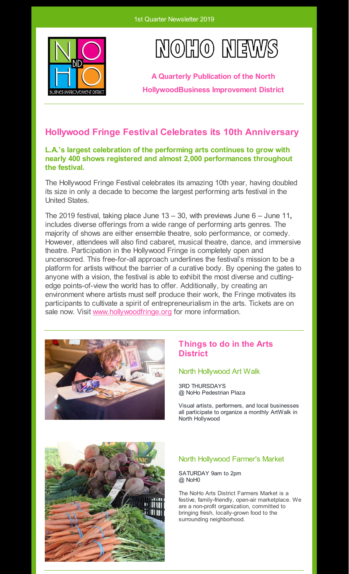



**A Quarterly Publication of the North HollywoodBusiness Improvement District**

## **Hollywood Fringe Festival Celebrates its 10th Anniversary**

### **L.A.'s largest celebration of the performing arts continues to grow with nearly 400 shows registered and almost 2,000 performances throughout the festival.**

The Hollywood Fringe Festival celebrates its amazing 10th year, having doubled its size in only a decade to become the largest performing arts festival in the United States.

The 2019 festival, taking place June 13 – 30, with previews June 6 – June 11**,** includes diverse offerings from a wide range of performing arts genres. The majority of shows are either ensemble theatre, solo performance, or comedy. However, attendees will also find cabaret, musical theatre, dance, and immersive theatre. Participation in the Hollywood Fringe is completely open and uncensored. This free-for-all approach underlines the festival's mission to be a platform for artists without the barrier of a curative body. By opening the gates to anyone with a vision, the festival is able to exhibit the most diverse and cuttingedge points-of-view the world has to offer. Additionally, by creating an environment where artists must self produce their work, the Fringe motivates its participants to cultivate a spirit of entrepreneurialism in the arts. Tickets are on sale now. Visit [www.hollywoodfringe.org](http://www.hollywoodfringe.org) for more information.



## **Things to do in the Arts District**

#### North Hollywood Art Walk

3RD THURSDAYS @ NoHo Pedestrian Plaza

Visual artists, performers, and local businesses all participate to organize a monthly ArtWalk in North Hollywood



### North Hollywood Farmer's Market

SATURDAY 9am to 2pm @ NoH0

The NoHo Arts District Farmers Market is a festive, family-friendly, open-air marketplace. We are a non-profit organization, committed to bringing fresh, locally-grown food to the surrounding neighborhood.